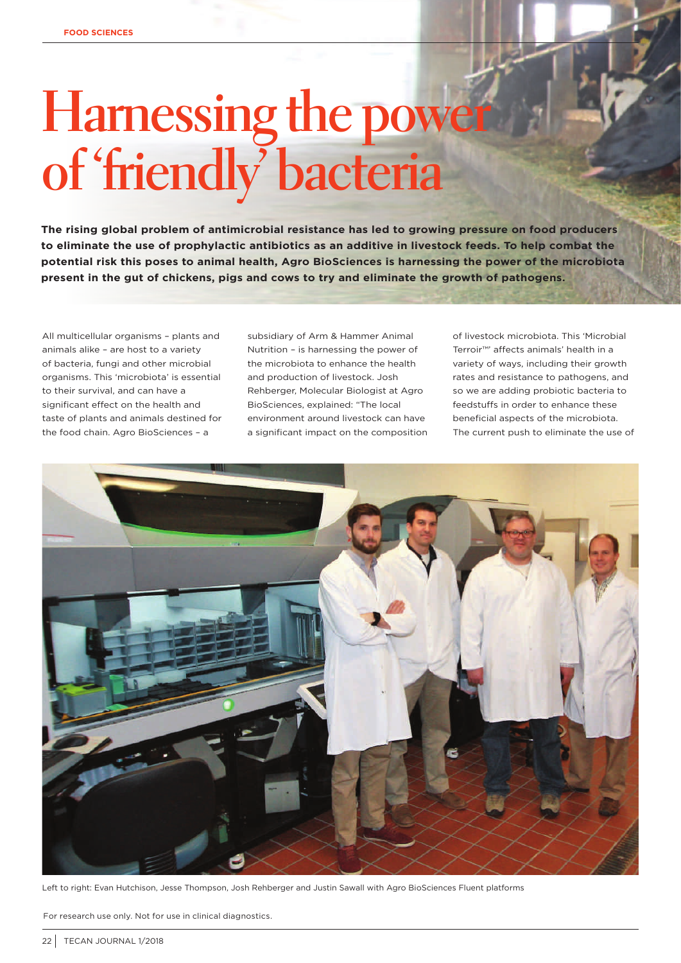## **Harnessing the power of 'friendly' bacteria**

**The rising global problem of antimicrobial resistance has led to growing pressure on food producers to eliminate the use of prophylactic antibiotics as an additive in livestock feeds. To help combat the potential risk this poses to animal health, Agro BioSciences is harnessing the power of the microbiota present in the gut of chickens, pigs and cows to try and eliminate the growth of pathogens.**

All multicellular organisms – plants and animals alike – are host to a variety of bacteria, fungi and other microbial organisms. This 'microbiota' is essential to their survival, and can have a significant effect on the health and taste of plants and animals destined for the food chain. Agro BioSciences – a

subsidiary of Arm & Hammer Animal Nutrition – is harnessing the power of the microbiota to enhance the health and production of livestock. Josh Rehberger, Molecular Biologist at Agro BioSciences, explained: "The local environment around livestock can have a significant impact on the composition of livestock microbiota. This 'Microbial Terroir™' affects animals' health in a variety of ways, including their growth rates and resistance to pathogens, and so we are adding probiotic bacteria to feedstuffs in order to enhance these beneficial aspects of the microbiota. The current push to eliminate the use of



Left to right: Evan Hutchison, Jesse Thompson, Josh Rehberger and Justin Sawall with Agro BioSciences Fluent platforms

For research use only. Not for use in clinical diagnostics.